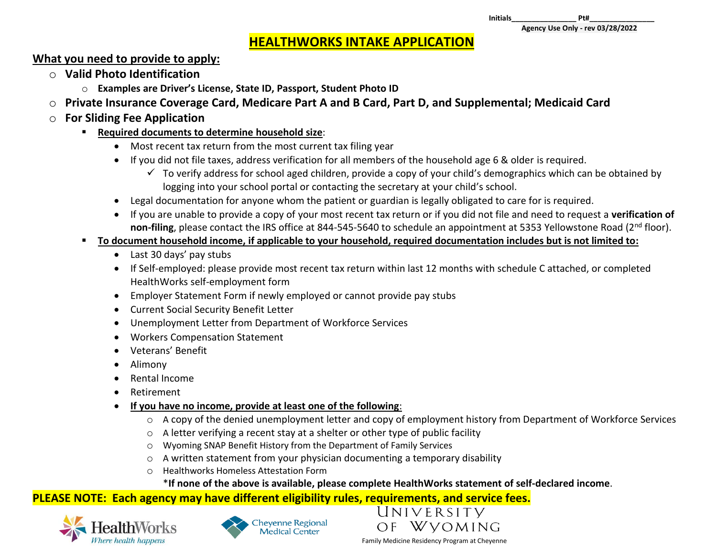# **HEALTHWORKS INTAKE APPLICATION**

## **What you need to provide to apply:**

- o **Valid Photo Identification**
	- o **Examples are Driver's License, State ID, Passport, Student Photo ID**
- o **Private Insurance Coverage Card, Medicare Part A and B Card, Part D, and Supplemental; Medicaid Card**
- o **For Sliding Fee Application**
	- **Required documents to determine household size**:
		- Most recent tax return from the most current tax filing year
		- If you did not file taxes, address verification for all members of the household age 6 & older is required.
			- $\checkmark$  To verify address for school aged children, provide a copy of your child's demographics which can be obtained by logging into your school portal or contacting the secretary at your child's school.
		- Legal documentation for anyone whom the patient or guardian is legally obligated to care for is required.
		- If you are unable to provide a copy of your most recent tax return or if you did not file and need to request a **verification of**  non-filing, please contact the IRS office at 844-545-5640 to schedule an appointment at 5353 Yellowstone Road (2<sup>nd</sup> floor).
	- **To document household income, if applicable to your household, required documentation includes but is not limited to:**
		- Last 30 days' pay stubs
		- If Self-employed: please provide most recent tax return within last 12 months with schedule C attached, or completed HealthWorks self-employment form
		- Employer Statement Form if newly employed or cannot provide pay stubs
		- Current Social Security Benefit Letter
		- Unemployment Letter from Department of Workforce Services
		- Workers Compensation Statement
		- Veterans' Benefit
		- Alimony
		- Rental Income
		- Retirement
		- **If you have no income, provide at least one of the following**:
			- $\circ$  A copy of the denied unemployment letter and copy of employment history from Department of Workforce Services
			- o A letter verifying a recent stay at a shelter or other type of public facility
			- o Wyoming SNAP Benefit History from the Department of Family Services
			- o A written statement from your physician documenting a temporary disability
			- o Healthworks Homeless Attestation Form

# \***If none of the above is available, please complete HealthWorks statement of self-declared income**.

# **PLEASE NOTE: Each agency may have different eligibility rules, requirements, and service fees.**







Family Medicine Residency Program at Cheyenne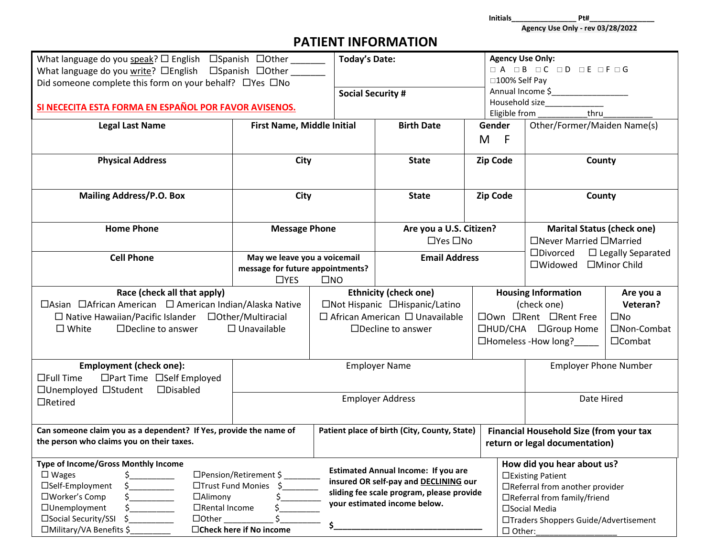**Initials\_\_\_\_\_\_\_\_\_\_\_\_\_\_\_\_ Pt#\_\_\_\_\_\_\_\_\_\_\_\_\_\_\_\_**

**Agency Use Only - rev 03/28/2022**

# **PATIENT INFORMATION**

| What language do you speak? $\square$ English $\;\square$ Spanish $\;\square$ Other<br>What language do you write? <b>OEnglish</b> DSpanish DOther ______<br>Did someone complete this form on your behalf? □ Yes □ No           |                                                                                                | <b>Today's Date:</b> |                                                                                                                                                                  | <b>Agency Use Only:</b><br>□100% Self Pay | O A O B O C O D O E O F O G                                                                                                                                                  |                                                                       |
|----------------------------------------------------------------------------------------------------------------------------------------------------------------------------------------------------------------------------------|------------------------------------------------------------------------------------------------|----------------------|------------------------------------------------------------------------------------------------------------------------------------------------------------------|-------------------------------------------|------------------------------------------------------------------------------------------------------------------------------------------------------------------------------|-----------------------------------------------------------------------|
| SI NECECITA ESTA FORMA EN ESPAÑOL POR FAVOR AVISENOS.                                                                                                                                                                            |                                                                                                |                      | <b>Social Security #</b>                                                                                                                                         |                                           | Annual Income \$<br>Household size_______________<br>thru<br>Eligible from                                                                                                   |                                                                       |
| <b>Legal Last Name</b>                                                                                                                                                                                                           | <b>First Name, Middle Initial</b>                                                              |                      | <b>Birth Date</b>                                                                                                                                                | Gender<br>M<br>- F                        | Other/Former/Maiden Name(s)                                                                                                                                                  |                                                                       |
| <b>Physical Address</b>                                                                                                                                                                                                          | City                                                                                           |                      | <b>State</b>                                                                                                                                                     | Zip Code                                  | County                                                                                                                                                                       |                                                                       |
| <b>Mailing Address/P.O. Box</b>                                                                                                                                                                                                  | City                                                                                           |                      | <b>State</b>                                                                                                                                                     | <b>Zip Code</b>                           | County                                                                                                                                                                       |                                                                       |
| <b>Home Phone</b>                                                                                                                                                                                                                | <b>Message Phone</b>                                                                           |                      | Are you a U.S. Citizen?<br>$\Box$ Yes $\Box$ No                                                                                                                  |                                           | <b>Marital Status (check one)</b><br>□Never Married □Married                                                                                                                 |                                                                       |
| <b>Cell Phone</b>                                                                                                                                                                                                                | May we leave you a voicemail<br>message for future appointments?<br>$\square$ NO<br>$\Box$ YES |                      | <b>Email Address</b>                                                                                                                                             |                                           | $\square$ Divorced<br>$\Box$ Legally Separated<br>□Widowed □Minor Child                                                                                                      |                                                                       |
| Race (check all that apply)<br>□Asian □African American □ American Indian/Alaska Native<br>$\Box$ Native Hawaiian/Pacific Islander $\Box$ Other/Multiracial<br>$\Box$ Unavailable<br>$\square$ White<br>$\Box$ Decline to answer |                                                                                                |                      | <b>Ethnicity (check one)</b><br>□Not Hispanic □Hispanic/Latino<br>$\Box$ African American $\Box$ Unavailable<br>$\Box$ Decline to answer                         |                                           | <b>Housing Information</b><br>(check one)<br>□Own □Rent □Rent Free<br>□HUD/CHA □Group Home<br>$\Box$ Homeless -How long?                                                     | Are you a<br>Veteran?<br>$\square$ No<br>□Non-Combat<br>$\Box$ Combat |
| <b>Employment (check one):</b><br>$\Box$ Full Time<br>$\Box$ Part Time $\Box$ Self Employed<br>□Unemployed □Student □Disabled                                                                                                    |                                                                                                | <b>Employer Name</b> |                                                                                                                                                                  |                                           | <b>Employer Phone Number</b>                                                                                                                                                 |                                                                       |
| $\Box$ Retired                                                                                                                                                                                                                   |                                                                                                |                      | <b>Employer Address</b>                                                                                                                                          |                                           | Date Hired                                                                                                                                                                   |                                                                       |
| Can someone claim you as a dependent? If Yes, provide the name of<br>the person who claims you on their taxes.                                                                                                                   |                                                                                                |                      | Patient place of birth (City, County, State)                                                                                                                     |                                           | Financial Household Size (from your tax<br>return or legal documentation)                                                                                                    |                                                                       |
| Type of Income/Gross Monthly Income<br>$\square$ Wages<br>□Self-Employment<br>□Worker's Comp<br>$\Box$ Alimony<br>□Unemployment<br>$\Box$ Rental Income<br>□Social Security/SSI<br>$\Box$ Other<br>□Military/VA Benefits \$      | □Pension/Retirement \$<br>□Trust Fund Monies<br>□Check here if No income                       | \$                   | <b>Estimated Annual Income: If you are</b><br>insured OR self-pay and DECLINING our<br>sliding fee scale program, please provide<br>your estimated income below. | $\Box$ Other:                             | How did you hear about us?<br>□Existing Patient<br>□Referral from another provider<br>□Referral from family/friend<br>□Social Media<br>□Traders Shoppers Guide/Advertisement |                                                                       |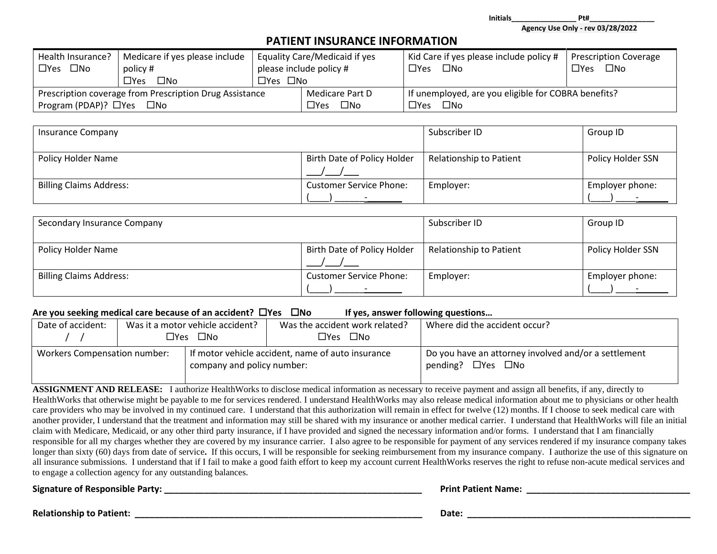**Initials\_\_\_\_\_\_\_\_\_\_\_\_\_\_\_\_ Pt#\_\_\_\_\_\_\_\_\_\_\_\_\_\_\_\_**

**Agency Use Only - rev 03/28/2022**

### **PATIENT INSURANCE INFORMATION**

| Health Insurance?                                       | Medicare if yes please include | Equality Care/Medicaid if yes |                                                     | Kid Care if yes please include policy # | <b>Prescription Coverage</b> |
|---------------------------------------------------------|--------------------------------|-------------------------------|-----------------------------------------------------|-----------------------------------------|------------------------------|
| $\square$ No<br>$\square$ Yes                           | policy #                       | please include policy #       |                                                     | $\Box$ Yes $\Box$ No                    | $\square$ No<br>$\Box$ Yes   |
|                                                         | $\square$ No<br>$\Box$ Yes L   | □Yes □No                      |                                                     |                                         |                              |
| Prescription coverage from Prescription Drug Assistance |                                | Medicare Part D               | If unemployed, are you eligible for COBRA benefits? |                                         |                              |
| Program (PDAP)? $\Box$ Yes<br>$\square$ No              |                                | $\square$ No<br>$\Box$ Yes    | □Yes □No                                            |                                         |                              |

| <b>Insurance Company</b>       |                                | Subscriber ID           | Group ID          |
|--------------------------------|--------------------------------|-------------------------|-------------------|
| Policy Holder Name             | Birth Date of Policy Holder    | Relationship to Patient | Policy Holder SSN |
| <b>Billing Claims Address:</b> | <b>Customer Service Phone:</b> | Employer:               | Employer phone:   |

| Secondary Insurance Company    |                                | Subscriber ID           | Group ID          |
|--------------------------------|--------------------------------|-------------------------|-------------------|
| Policy Holder Name             | Birth Date of Policy Holder    | Relationship to Patient | Policy Holder SSN |
| <b>Billing Claims Address:</b> | <b>Customer Service Phone:</b> | Employer:               | Employer phone:   |

#### **Are you seeking medical care because of an accident? Yes No If yes, answer following questions…**

|                   |                                                                   |                                  |                                                   | .                                                                                            |
|-------------------|-------------------------------------------------------------------|----------------------------------|---------------------------------------------------|----------------------------------------------------------------------------------------------|
| Date of accident: |                                                                   | Was it a motor vehicle accident? | Was the accident work related?                    | Where did the accident occur?                                                                |
|                   |                                                                   | $\Box$ Yes $\Box$ No             | □Yes □No                                          |                                                                                              |
|                   | <b>Workers Compensation number:</b><br>company and policy number: |                                  | If motor vehicle accident, name of auto insurance | $\Box$ Do you have an attorney involved and/or a settlement<br>pending? $\Box$ Yes $\Box$ No |

**ASSIGNMENT AND RELEASE:** I authorize HealthWorks to disclose medical information as necessary to receive payment and assign all benefits, if any, directly to HealthWorks that otherwise might be payable to me for services rendered. I understand HealthWorks may also release medical information about me to physicians or other health care providers who may be involved in my continued care. I understand that this authorization will remain in effect for twelve (12) months. If I choose to seek medical care with another provider, I understand that the treatment and information may still be shared with my insurance or another medical carrier. I understand that HealthWorks will file an initial claim with Medicare, Medicaid, or any other third party insurance, if I have provided and signed the necessary information and/or forms. I understand that I am financially responsible for all my charges whether they are covered by my insurance carrier. I also agree to be responsible for payment of any services rendered if my insurance company takes longer than sixty (60) days from date of service. If this occurs, I will be responsible for seeking reimbursement from my insurance company. I authorize the use of this signature on all insurance submissions. I understand that if I fail to make a good faith effort to keep my account current HealthWorks reserves the right to refuse non-acute medical services and to engage a collection agency for any outstanding balances.

**Signature of Responsible Party: \_\_\_\_\_\_\_\_\_\_\_\_\_\_\_\_\_\_\_\_\_\_\_\_\_\_\_\_\_\_\_\_\_\_\_\_\_\_\_\_\_\_\_\_\_\_\_\_\_\_\_\_ Print Patient Name: \_\_\_\_\_\_\_\_\_\_\_\_\_\_\_\_\_\_\_\_\_\_\_\_\_\_\_\_\_\_\_\_\_**

**Relationship to Patient: \_\_\_\_\_\_\_\_\_\_\_\_\_\_\_\_\_\_\_\_\_\_\_\_\_\_\_\_\_\_\_\_\_\_\_\_\_\_\_\_\_\_\_\_\_\_\_\_\_\_\_\_\_\_\_\_\_\_ Date: \_\_\_\_\_\_\_\_\_\_\_\_\_\_\_\_\_\_\_\_\_\_\_\_\_\_\_\_\_\_\_\_\_\_\_\_\_\_\_\_\_\_\_\_\_**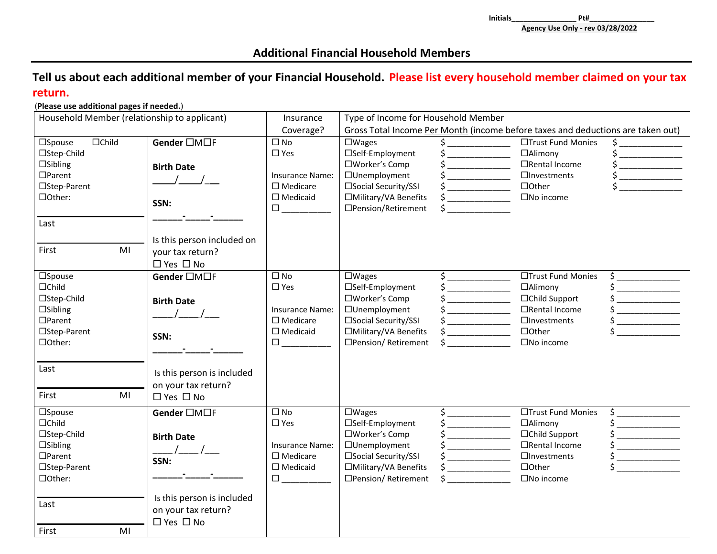## **Additional Financial Household Members**

## **Tell us about each additional member of your Financial Household. Please list every household member claimed on your tax return.**

#### (**Please use additional pages if needed.**)

| Household Member (relationship to applicant)<br>Insurance                                                                            |                                                                                                                                        |                                                                                                                                               | Type of Income for Household Member                                                                                                             |                                                                                                                                                                                                                                                                                                                                                                                                                                                      |                                                                                                                                       |                                                                                                                                                                                                                                                                                                                                                                                                                                                                                                                                                                                                                                                                                                                                                                                                                                                                                                        |
|--------------------------------------------------------------------------------------------------------------------------------------|----------------------------------------------------------------------------------------------------------------------------------------|-----------------------------------------------------------------------------------------------------------------------------------------------|-------------------------------------------------------------------------------------------------------------------------------------------------|------------------------------------------------------------------------------------------------------------------------------------------------------------------------------------------------------------------------------------------------------------------------------------------------------------------------------------------------------------------------------------------------------------------------------------------------------|---------------------------------------------------------------------------------------------------------------------------------------|--------------------------------------------------------------------------------------------------------------------------------------------------------------------------------------------------------------------------------------------------------------------------------------------------------------------------------------------------------------------------------------------------------------------------------------------------------------------------------------------------------------------------------------------------------------------------------------------------------------------------------------------------------------------------------------------------------------------------------------------------------------------------------------------------------------------------------------------------------------------------------------------------------|
|                                                                                                                                      |                                                                                                                                        | Coverage?                                                                                                                                     | Gross Total Income Per Month (income before taxes and deductions are taken out)                                                                 |                                                                                                                                                                                                                                                                                                                                                                                                                                                      |                                                                                                                                       |                                                                                                                                                                                                                                                                                                                                                                                                                                                                                                                                                                                                                                                                                                                                                                                                                                                                                                        |
| $\Box$ Child<br>$\square$ Spouse<br>□Step-Child<br>$\Box$ Sibling<br>$\Box$ Parent<br>□Step-Parent<br>□Other:<br>Last<br>First<br>MI | Gender □M□F<br><b>Birth Date</b><br>SSN:<br>Is this person included on<br>your tax return?                                             | $\square$ No<br>$\square$ Yes<br><b>Insurance Name:</b><br>$\square$ Medicare<br>$\square$ Medicaid<br>$\Box$ and the set of $\Box$           | $\square$ Wages<br>□Self-Employment<br>□Worker's Comp<br>□Unemployment<br>□Social Security/SSI<br>□Military/VA Benefits<br>□Pension/Retirement  | $\begin{picture}(20,20) \put(0,0){\line(1,0){10}} \put(15,0){\line(1,0){10}} \put(15,0){\line(1,0){10}} \put(15,0){\line(1,0){10}} \put(15,0){\line(1,0){10}} \put(15,0){\line(1,0){10}} \put(15,0){\line(1,0){10}} \put(15,0){\line(1,0){10}} \put(15,0){\line(1,0){10}} \put(15,0){\line(1,0){10}} \put(15,0){\line(1,0){10}} \put(15,0){\line(1$<br>$\frac{1}{2}$<br>$\frac{1}{2}$<br>$\sim$ $\sim$                                               | □Trust Fund Monies<br>$\Box$ Alimony<br>□Rental Income<br>$\Box$ Investments<br>$\Box$ Other<br>$\square$ No income                   | $\frac{1}{2}$<br>$\overline{\phantom{a}}$<br>$\frac{1}{2}$<br>$\zeta$ and $\zeta$                                                                                                                                                                                                                                                                                                                                                                                                                                                                                                                                                                                                                                                                                                                                                                                                                      |
|                                                                                                                                      | $\Box$ Yes $\Box$ No                                                                                                                   |                                                                                                                                               |                                                                                                                                                 |                                                                                                                                                                                                                                                                                                                                                                                                                                                      |                                                                                                                                       |                                                                                                                                                                                                                                                                                                                                                                                                                                                                                                                                                                                                                                                                                                                                                                                                                                                                                                        |
| $\square$ Spouse<br>$\Box$ Child<br>□Step-Child<br>$\Box$ Sibling<br>$\Box$ Parent<br>□Step-Parent<br>□Other:<br>Last<br>First<br>MI | Gender □M□F<br><b>Birth Date</b><br>$\frac{1}{2}$<br>SSN:<br>Is this person is included<br>on your tax return?<br>$\Box$ Yes $\Box$ No | $\square$ No<br>$\square$ Yes<br><b>Insurance Name:</b><br>$\square$ Medicare<br>$\square$ Medicaid<br>$\square$ $\qquad \qquad \blacksquare$ | $\square$ Wages<br>□Self-Employment<br>□Worker's Comp<br>□Unemployment<br>□Social Security/SSI<br>□Military/VA Benefits<br>□Pension/ Retirement | $\begin{picture}(20,20) \put(0,0){\line(1,0){10}} \put(15,0){\line(1,0){10}} \put(15,0){\line(1,0){10}} \put(15,0){\line(1,0){10}} \put(15,0){\line(1,0){10}} \put(15,0){\line(1,0){10}} \put(15,0){\line(1,0){10}} \put(15,0){\line(1,0){10}} \put(15,0){\line(1,0){10}} \put(15,0){\line(1,0){10}} \put(15,0){\line(1,0){10}} \put(15,0){\line(1$<br>$\frac{1}{2}$<br>$\frac{1}{2}$<br>$\frac{1}{2}$<br>$\frac{1}{2}$<br>$\frac{1}{2}$<br>$\sharp$ | □Trust Fund Monies<br>$\Box$ Alimony<br>□Child Support<br>□Rental Income<br>$\Box$ Investments<br>$\Box$ Other<br>$\square$ No income | $\begin{picture}(20,20) \put(0,0){\line(1,0){10}} \put(15,0){\line(1,0){10}} \put(15,0){\line(1,0){10}} \put(15,0){\line(1,0){10}} \put(15,0){\line(1,0){10}} \put(15,0){\line(1,0){10}} \put(15,0){\line(1,0){10}} \put(15,0){\line(1,0){10}} \put(15,0){\line(1,0){10}} \put(15,0){\line(1,0){10}} \put(15,0){\line(1,0){10}} \put(15,0){\line(1$<br>$\begin{array}{cccccccccc} \multicolumn{2}{c}{} & \multicolumn{2}{c}{} & \multicolumn{2}{c}{} & \multicolumn{2}{c}{} & \multicolumn{2}{c}{} & \multicolumn{2}{c}{} & \multicolumn{2}{c}{} & \multicolumn{2}{c}{} & \multicolumn{2}{c}{} & \multicolumn{2}{c}{} & \multicolumn{2}{c}{} & \multicolumn{2}{c}{} & \multicolumn{2}{c}{} & \multicolumn{2}{c}{} & \multicolumn{2}{c}{} & \multicolumn{2}{c}{} & \multicolumn{2}{c}{} & \multicolumn{2}{c}{} & \multicolumn{2}{c}{} & \mult$<br><u>__________________</u><br>$\overline{\phantom{a}}$ |
| $\square$ Spouse<br>$\Box$ Child<br>□Step-Child<br>$\Box$ Sibling<br>$\Box$ Parent<br>□Step-Parent<br>□Other:<br>Last<br>First<br>MI | Gender □M□F<br><b>Birth Date</b><br>SSN:<br>Is this person is included<br>on your tax return?<br>$\Box$ Yes $\Box$ No                  | $\square$ No<br>$\square$ Yes<br><b>Insurance Name:</b><br>$\square$ Medicare<br>$\Box$ Medicaid<br>$\square$                                 | $\square$ Wages<br>□Self-Employment<br>□Worker's Comp<br>□Unemployment<br>□Social Security/SSI<br>□Military/VA Benefits<br>□Pension/ Retirement | $\begin{picture}(20,20) \put(0,0){\line(1,0){10}} \put(15,0){\line(1,0){10}} \put(15,0){\line(1,0){10}} \put(15,0){\line(1,0){10}} \put(15,0){\line(1,0){10}} \put(15,0){\line(1,0){10}} \put(15,0){\line(1,0){10}} \put(15,0){\line(1,0){10}} \put(15,0){\line(1,0){10}} \put(15,0){\line(1,0){10}} \put(15,0){\line(1,0){10}} \put(15,0){\line(1$<br>$\frac{1}{2}$<br>$\frac{1}{2}$<br>$\frac{1}{2}$<br>$\frac{1}{2}$<br>$\frac{1}{2}$<br>$\sharp$ | □Trust Fund Monies<br>$\Box$ Alimony<br>□Child Support<br>□Rental Income<br>$\Box$ Investments<br>$\Box$ Other<br>$\square$ No income | $\frac{1}{2}$                                                                                                                                                                                                                                                                                                                                                                                                                                                                                                                                                                                                                                                                                                                                                                                                                                                                                          |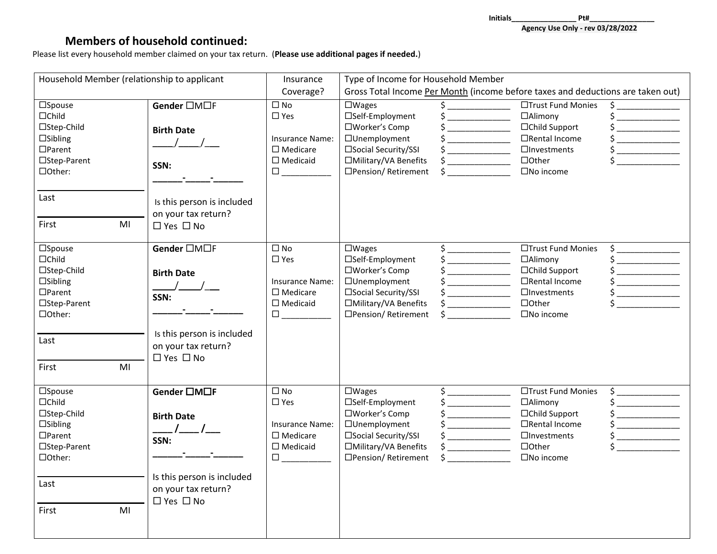**Initials\_\_\_\_\_\_\_\_\_\_\_\_\_\_\_\_ Pt#\_\_\_\_\_\_\_\_\_\_\_\_\_\_\_\_ Agency Use Only - rev 03/28/2022**

# **Members of household continued:**

Please list every household member claimed on your tax return. (**Please use additional pages if needed.**)

| Household Member (relationship to applicant<br>Insurance                                                                                            |                                                                                                                                        |                                                                                                                                                                                                                                                      | Type of Income for Household Member                                                                                                             |                                                                                                                                                                                                                                                                                                                                                                                                                                                           |                                                                                                                                 |                                                                                                                                                                                                                                                                                                                                                                                                                                                                         |
|-----------------------------------------------------------------------------------------------------------------------------------------------------|----------------------------------------------------------------------------------------------------------------------------------------|------------------------------------------------------------------------------------------------------------------------------------------------------------------------------------------------------------------------------------------------------|-------------------------------------------------------------------------------------------------------------------------------------------------|-----------------------------------------------------------------------------------------------------------------------------------------------------------------------------------------------------------------------------------------------------------------------------------------------------------------------------------------------------------------------------------------------------------------------------------------------------------|---------------------------------------------------------------------------------------------------------------------------------|-------------------------------------------------------------------------------------------------------------------------------------------------------------------------------------------------------------------------------------------------------------------------------------------------------------------------------------------------------------------------------------------------------------------------------------------------------------------------|
|                                                                                                                                                     |                                                                                                                                        | Coverage?                                                                                                                                                                                                                                            | Gross Total Income Per Month (income before taxes and deductions are taken out)                                                                 |                                                                                                                                                                                                                                                                                                                                                                                                                                                           |                                                                                                                                 |                                                                                                                                                                                                                                                                                                                                                                                                                                                                         |
| $\square$ Spouse<br>$\Box$ Child<br>□Step-Child<br>$\square$ Sibling<br>$\Box$ Parent<br>□Step-Parent<br>□Other:<br>Last<br>M <sub>l</sub><br>First | Gender □M□F<br><b>Birth Date</b><br>$\frac{1}{2}$<br>SSN:<br>Is this person is included<br>on your tax return?<br>$\Box$ Yes $\Box$ No | $\square$ No<br>$\square$ Yes<br><b>Insurance Name:</b><br>$\square$ Medicare<br>$\square$ Medicaid<br>$\Box \underbrace{\phantom{aaaaaaa}}$                                                                                                         | $\square$ Wages<br>□Self-Employment<br>□Worker's Comp<br>□Unemployment<br>□Social Security/SSI<br>□Military/VA Benefits<br>□Pension/ Retirement | $\overline{\mathsf{s}}$ <sub>-</sub><br>$\frac{1}{2}$<br>$\frac{1}{2}$<br>$\frac{1}{2}$<br>$\frac{1}{2}$<br>$\frac{1}{2}$                                                                                                                                                                                                                                                                                                                                 | □Trust Fund Monies<br>□Alimony<br>□Child Support<br>□Rental Income<br>$\Box$ Investments<br>$\Box$ Other<br>$\square$ No income | $\begin{picture}(20,20) \put(0,0){\line(1,0){10}} \put(15,0){\line(1,0){10}} \put(15,0){\line(1,0){10}} \put(15,0){\line(1,0){10}} \put(15,0){\line(1,0){10}} \put(15,0){\line(1,0){10}} \put(15,0){\line(1,0){10}} \put(15,0){\line(1,0){10}} \put(15,0){\line(1,0){10}} \put(15,0){\line(1,0){10}} \put(15,0){\line(1,0){10}} \put(15,0){\line(1$<br><u>_________________</u><br>$\frac{1}{2}$<br>$\mathsf{\dot{S}}$                                                  |
| $\square$ Spouse<br>$\Box$ Child<br>□Step-Child<br>$\square$ Sibling<br>$\Box$ Parent<br>□Step-Parent<br>□Other:<br>Last<br>MI<br>First             | Gender □M□F<br><b>Birth Date</b><br>$\frac{\Delta}{\Delta}$<br>SSN:<br>Is this person is included<br>on your tax return?<br>□ Yes □ No | $\Box$ No<br>$\square$ Yes<br><b>Insurance Name:</b><br>$\square$ Medicare<br>$\Box$ Medicaid<br>$\begin{tabular}{ c c c } \hline \quad \quad & \quad \quad & \quad \quad \\ \hline \quad \quad & \quad \quad & \quad \quad \\ \hline \end{tabular}$ | $\square$ Wages<br>□Self-Employment<br>□Worker's Comp<br>□Unemployment<br>□Social Security/SSI<br>□Military/VA Benefits<br>□Pension/ Retirement | $\begin{picture}(20,20) \put(0,0){\line(1,0){10}} \put(15,0){\line(1,0){10}} \put(15,0){\line(1,0){10}} \put(15,0){\line(1,0){10}} \put(15,0){\line(1,0){10}} \put(15,0){\line(1,0){10}} \put(15,0){\line(1,0){10}} \put(15,0){\line(1,0){10}} \put(15,0){\line(1,0){10}} \put(15,0){\line(1,0){10}} \put(15,0){\line(1,0){10}} \put(15,0){\line(1$<br>$\frac{1}{2}$<br>$\frac{1}{2}$<br>$\frac{1}{2}$<br>$\frac{1}{2}$<br>$\frac{1}{2}$<br>$\frac{1}{2}$ | □Trust Fund Monies<br>□Alimony<br>□Child Support<br>□Rental Income<br>$\Box$ Investments<br>$\Box$ Other<br>$\square$ No income | $\begin{picture}(20,20) \put(0,0){\line(1,0){10}} \put(15,0){\line(1,0){10}} \put(15,0){\line(1,0){10}} \put(15,0){\line(1,0){10}} \put(15,0){\line(1,0){10}} \put(15,0){\line(1,0){10}} \put(15,0){\line(1,0){10}} \put(15,0){\line(1,0){10}} \put(15,0){\line(1,0){10}} \put(15,0){\line(1,0){10}} \put(15,0){\line(1,0){10}} \put(15,0){\line(1$<br>$\frac{1}{2}$<br><u>_________________</u>                                                                        |
| $\square$ Spouse<br>$\Box$ Child<br>□Step-Child<br>$\square$ Sibling<br>$\Box$ Parent<br>□Step-Parent<br>□Other:<br>Last<br>First<br>MI             | Gender □M□F<br><b>Birth Date</b><br>SSN:<br>Is this person is included<br>on your tax return?<br>□ Yes □ No                            | $\square$ No<br>$\square$ Yes<br><b>Insurance Name:</b><br>$\square$ Medicare<br>$\square$ Medicaid<br>$\Box$                                                                                                                                        | $\square$ Wages<br>□Self-Employment<br>□Worker's Comp<br>□Unemployment<br>□Social Security/SSI<br>□Military/VA Benefits<br>□Pension/ Retirement | $\frac{1}{2}$<br>$\frac{1}{2}$<br>$\frac{1}{2}$<br>$\frac{1}{2}$<br>$\frac{1}{2}$<br>$\frac{1}{2}$<br>$\zeta$                                                                                                                                                                                                                                                                                                                                             | □Trust Fund Monies<br>□Alimony<br>□Child Support<br>□Rental Income<br>$\Box$ Investments<br>$\Box$ Other<br>$\square$ No income | $\begin{picture}(20,20) \put(0,0){\line(1,0){10}} \put(15,0){\line(1,0){10}} \put(15,0){\line(1,0){10}} \put(15,0){\line(1,0){10}} \put(15,0){\line(1,0){10}} \put(15,0){\line(1,0){10}} \put(15,0){\line(1,0){10}} \put(15,0){\line(1,0){10}} \put(15,0){\line(1,0){10}} \put(15,0){\line(1,0){10}} \put(15,0){\line(1,0){10}} \put(15,0){\line(1$<br>$\overline{\phantom{a}}$<br>$\overline{\phantom{a}}$ . The contract of $\overline{\phantom{a}}$<br>$\frac{1}{2}$ |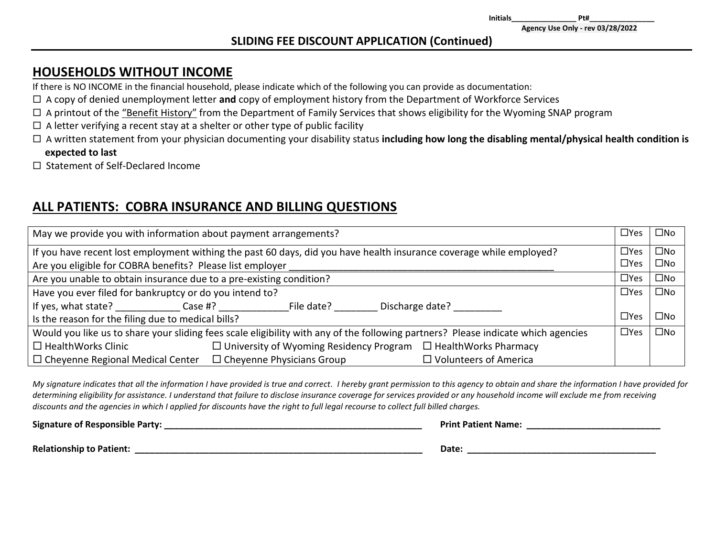**Initials\_\_\_\_\_\_\_\_\_\_\_\_\_\_\_\_ Pt#\_\_\_\_\_\_\_\_\_\_\_\_\_\_\_\_**

### **SLIDING FEE DISCOUNT APPLICATION (Continued)**

# **HOUSEHOLDS WITHOUT INCOME**

If there is NO INCOME in the financial household, please indicate which of the following you can provide as documentation:

- A copy of denied unemployment letter **and** copy of employment history from the Department of Workforce Services
- □ A printout of the "Benefit History" from the Department of Family Services that shows eligibility for the Wyoming SNAP program
- $\Box$  A letter verifying a recent stay at a shelter or other type of public facility
- A written statement from your physician documenting your disability status **including how long the disabling mental/physical health condition is expected to last**
- Statement of Self-Declared Income

# **ALL PATIENTS: COBRA INSURANCE AND BILLING QUESTIONS**

| May we provide you with information about payment arrangements?                                                                   |            |              |  |
|-----------------------------------------------------------------------------------------------------------------------------------|------------|--------------|--|
| If you have recent lost employment withing the past 60 days, did you have health insurance coverage while employed?               | $\Box$ Yes | $\square$ No |  |
| Are you eligible for COBRA benefits? Please list employer                                                                         | $\Box$ Yes | $\square$ No |  |
| Are you unable to obtain insurance due to a pre-existing condition?                                                               |            |              |  |
| Have you ever filed for bankruptcy or do you intend to?                                                                           | $\Box$ Yes | $\square$ No |  |
| If yes, what state? Case #?<br>File date?<br>Discharge date?                                                                      |            |              |  |
| Is the reason for the filing due to medical bills?                                                                                |            |              |  |
| Would you like us to share your sliding fees scale eligibility with any of the following partners? Please indicate which agencies |            |              |  |
| $\Box$ University of Wyoming Residency Program $\Box$ HealthWorks Pharmacy<br>$\Box$ HealthWorks Clinic                           |            |              |  |
| $\Box$ Cheyenne Physicians Group<br>$\Box$ Cheyenne Regional Medical Center<br>$\Box$ Volunteers of America                       |            |              |  |

*My signature indicates that all the information I have provided is true and correct. I hereby grant permission to this agency to obtain and share the information I have provided for determining eligibility for assistance. I understand that failure to disclose insurance coverage for services provided or any household income will exclude me from receiving discounts and the agencies in which I applied for discounts have the right to full legal recourse to collect full billed charges.* 

**Signature of Responsible Party:** *Letter and the set of the set of the set of the set of the set of the set of the set of the set of the set of the set of the set of the set of the set of the set of the set of the set of* 

**Relationship to Patient: Date: Date: Date: Date: Date: Date: Date: Date: Date: Date: Date: Date: Date: Date: Date: Date: Date: Date: Date: Date: Date: Date: Date: Date: Da**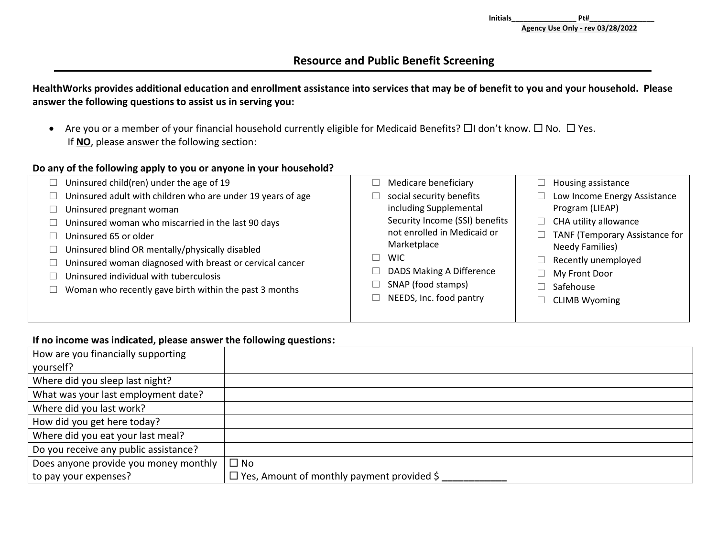## **Resource and Public Benefit Screening**

### **HealthWorks provides additional education and enrollment assistance into services that may be of benefit to you and your household. Please answer the following questions to assist us in serving you:**

• Are you or a member of your financial household currently eligible for Medicaid Benefits?  $\Box$ I don't know.  $\Box$  No.  $\Box$  Yes. If **NO**, please answer the following section:

#### **Do any of the following apply to you or anyone in your household?**

| Uninsured child(ren) under the age of 19                    | Medicare beneficiary           | Housing assistance             |
|-------------------------------------------------------------|--------------------------------|--------------------------------|
| Uninsured adult with children who are under 19 years of age | social security benefits       | Low Income Energy Assistance   |
| Uninsured pregnant woman                                    | including Supplemental         | Program (LIEAP)                |
| Uninsured woman who miscarried in the last 90 days          | Security Income (SSI) benefits | CHA utility allowance          |
| Uninsured 65 or older                                       | not enrolled in Medicaid or    | TANF (Temporary Assistance for |
| Uninsured blind OR mentally/physically disabled             | Marketplace                    | <b>Needy Families)</b>         |
| Uninsured woman diagnosed with breast or cervical cancer    | <b>WIC</b>                     | Recently unemployed            |
| Uninsured individual with tuberculosis                      | DADS Making A Difference       | My Front Door                  |
| Woman who recently gave birth within the past 3 months      | SNAP (food stamps)             | Safehouse                      |
|                                                             | NEEDS, Inc. food pantry        | <b>CLIMB Wyoming</b>           |
|                                                             |                                |                                |

#### **If no income was indicated, please answer the following questions:**

| How are you financially supporting    |                                                   |
|---------------------------------------|---------------------------------------------------|
| yourself?                             |                                                   |
| Where did you sleep last night?       |                                                   |
| What was your last employment date?   |                                                   |
| Where did you last work?              |                                                   |
| How did you get here today?           |                                                   |
| Where did you eat your last meal?     |                                                   |
| Do you receive any public assistance? |                                                   |
| Does anyone provide you money monthly | $\square$ No                                      |
| to pay your expenses?                 | $\Box$ Yes, Amount of monthly payment provided \$ |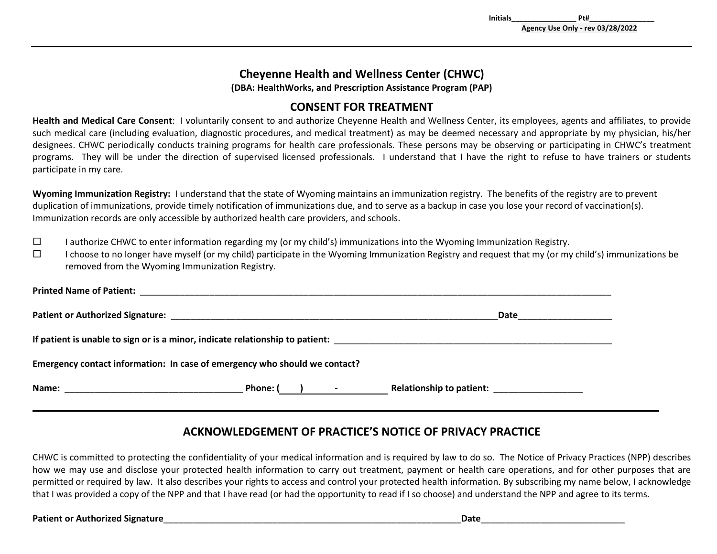# **Cheyenne Health and Wellness Center (CHWC)**

**(DBA: HealthWorks, and Prescription Assistance Program (PAP)**

# **CONSENT FOR TREATMENT**

**Health and Medical Care Consent**: I voluntarily consent to and authorize Cheyenne Health and Wellness Center, its employees, agents and affiliates, to provide such medical care (including evaluation, diagnostic procedures, and medical treatment) as may be deemed necessary and appropriate by my physician, his/her designees. CHWC periodically conducts training programs for health care professionals. These persons may be observing or participating in CHWC's treatment programs. They will be under the direction of supervised licensed professionals. I understand that I have the right to refuse to have trainers or students participate in my care.

**Wyoming Immunization Registry:** I understand that the state of Wyoming maintains an immunization registry. The benefits of the registry are to prevent duplication of immunizations, provide timely notification of immunizations due, and to serve as a backup in case you lose your record of vaccination(s). Immunization records are only accessible by authorized health care providers, and schools.

 $\square$  I authorize CHWC to enter information regarding my (or my child's) immunizations into the Wyoming Immunization Registry.

 $\square$  I choose to no longer have myself (or my child) participate in the Wyoming Immunization Registry and request that my (or my child's) immunizations be removed from the Wyoming Immunization Registry.

| Emergency contact information: In case of emergency who should we contact? |                |                          |  |  |
|----------------------------------------------------------------------------|----------------|--------------------------|--|--|
|                                                                            | Phone: $($ ) - | Relationship to patient: |  |  |

# **ACKNOWLEDGEMENT OF PRACTICE'S NOTICE OF PRIVACY PRACTICE**

CHWC is committed to protecting the confidentiality of your medical information and is required by law to do so. The Notice of Privacy Practices (NPP) describes how we may use and disclose your protected health information to carry out treatment, payment or health care operations, and for other purposes that are permitted or required by law. It also describes your rights to access and control your protected health information. By subscribing my name below, I acknowledge that I was provided a copy of the NPP and that I have read (or had the opportunity to read if I so choose) and understand the NPP and agree to its terms.

Patient or Authorized Signature **by a struck of the struck of the struck of the struck of the struck of the struck of the struck of the struck of the struck of the struck of the struck of the struck of the struck of the st**